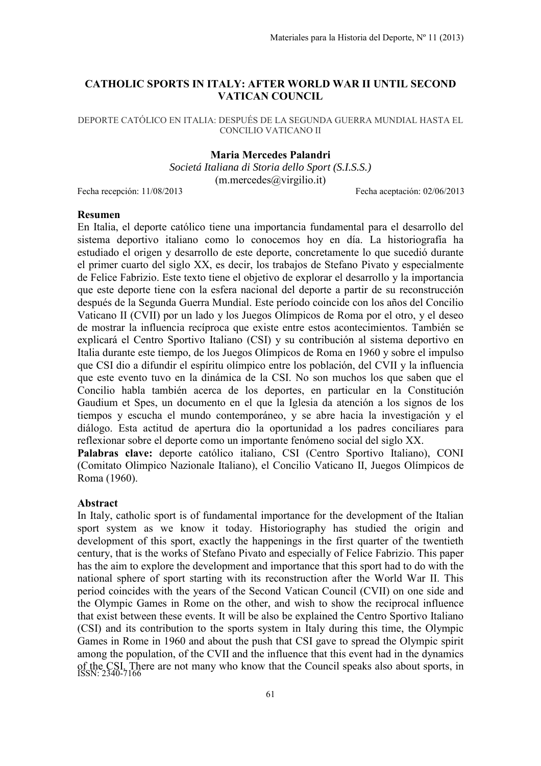## **CATHOLIC SPORTS IN ITALY: AFTER WORLD WAR II UNTIL SECOND VATICAN COUNCIL**

DEPORTE CATÓLICO EN ITALIA: DESPUÉS DE LA SEGUNDA GUERRA MUNDIAL HASTA EL CONCILIO VATICANO II

## **Maria Mercedes Palandri**

*Societá Italiana di Storia dello Sport (S.I.S.S.)*   $(m.\text{mercedes}(\hat{a})$ virgilio.it)

Fecha recepción: 11/08/2013 Fecha aceptación: 02/06/2013

## **Resumen**

En Italia, el deporte católico tiene una importancia fundamental para el desarrollo del sistema deportivo italiano como lo conocemos hoy en día. La historiografía ha estudiado el origen y desarrollo de este deporte, concretamente lo que sucedió durante el primer cuarto del siglo XX, es decir, los trabajos de Stefano Pivato y especialmente de Felice Fabrizio. Este texto tiene el objetivo de explorar el desarrollo y la importancia que este deporte tiene con la esfera nacional del deporte a partir de su reconstrucción después de la Segunda Guerra Mundial. Este período coincide con los años del Concilio Vaticano II (CVII) por un lado y los Juegos Olímpicos de Roma por el otro, y el deseo de mostrar la influencia recíproca que existe entre estos acontecimientos. También se explicará el Centro Sportivo Italiano (CSI) y su contribución al sistema deportivo en Italia durante este tiempo, de los Juegos Olímpicos de Roma en 1960 y sobre el impulso que CSI dio a difundir el espíritu olímpico entre los población, del CVII y la influencia que este evento tuvo en la dinámica de la CSI. No son muchos los que saben que el Concilio habla también acerca de los deportes, en particular en la Constitución Gaudium et Spes, un documento en el que la Iglesia da atención a los signos de los tiempos y escucha el mundo contemporáneo, y se abre hacia la investigación y el diálogo. Esta actitud de apertura dio la oportunidad a los padres conciliares para reflexionar sobre el deporte como un importante fenómeno social del siglo XX.

**Palabras clave:** deporte católico italiano, CSI (Centro Sportivo Italiano), CONI (Comitato Olimpico Nazionale Italiano), el Concilio Vaticano II, Juegos Olímpicos de Roma (1960).

### **Abstract**

of the CSI. There are not many who know that the Council speaks also about sports, in ISSN: 2340-7166 In Italy, catholic sport is of fundamental importance for the development of the Italian sport system as we know it today. Historiography has studied the origin and development of this sport, exactly the happenings in the first quarter of the twentieth century, that is the works of Stefano Pivato and especially of Felice Fabrizio. This paper has the aim to explore the development and importance that this sport had to do with the national sphere of sport starting with its reconstruction after the World War II. This period coincides with the years of the Second Vatican Council (CVII) on one side and the Olympic Games in Rome on the other, and wish to show the reciprocal influence that exist between these events. It will be also be explained the Centro Sportivo Italiano (CSI) and its contribution to the sports system in Italy during this time, the Olympic Games in Rome in 1960 and about the push that CSI gave to spread the Olympic spirit among the population, of the CVII and the influence that this event had in the dynamics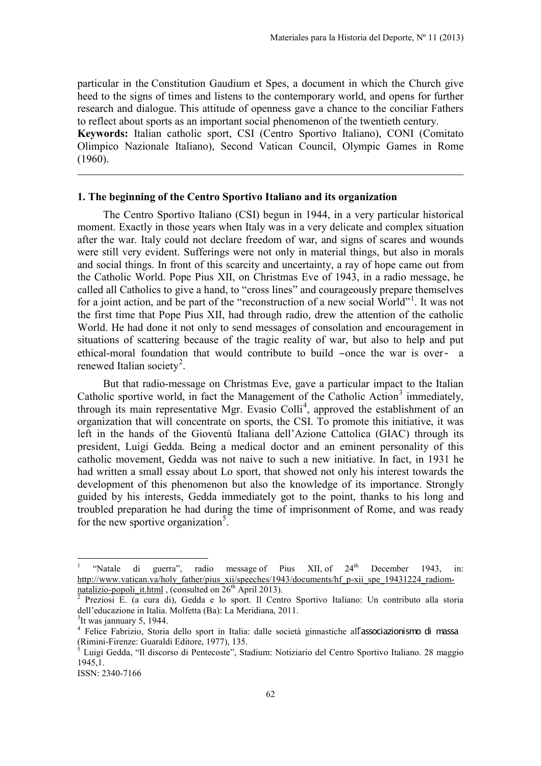particular in the Constitution Gaudium et Spes, a document in which the Church give heed to the signs of times and listens to the contemporary world, and opens for further research and dialogue. This attitude of openness gave a chance to the conciliar Fathers to reflect about sports as an important social phenomenon of the twentieth century.

**Keywords:** Italian catholic sport, CSI (Centro Sportivo Italiano), CONI (Comitato Olimpico Nazionale Italiano), Second Vatican Council, Olympic Games in Rome (1960).

### **1. The beginning of the Centro Sportivo Italiano and its organization**

The Centro Sportivo Italiano (CSI) begun in 1944, in a very particular historical moment. Exactly in those years when Italy was in a very delicate and complex situation after the war. Italy could not declare freedom of war, and signs of scares and wounds were still very evident. Sufferings were not only in material things, but also in morals and social things. In front of this scarcity and uncertainty, a ray of hope came out from the Catholic World. Pope Pius XII, on Christmas Eve of 1943, in a radio message, he called all Catholics to give a hand, to "cross lines" and courageously prepare themselves for a joint action, and be part of the "reconstruction of a new social World"<sup>[1](#page-16-0)</sup>. It was not the first time that Pope Pius XII, had through radio, drew the attention of the catholic World. He had done it not only to send messages of consolation and encouragement in situations of scattering because of the tragic reality of war, but also to help and put ethical-moral foundation that would contribute to build –once the war is over- a renewed Italian society<sup>[2](#page-1-0)</sup>.

But that radio-message on Christmas Eve, gave a particular impact to the Italian Catholic sportive world, in fact the Management of the Catholic Action $3$  immediately, through its main representative Mgr. Evasio Colli<sup>[4](#page-1-2)</sup>, approved the establishment of an organization that will concentrate on sports, the CSI. To promote this initiative, it was left in the hands of the Gioventù Italiana dell'Azione Cattolica (GIAC) through its president, Luigi Gedda. Being a medical doctor and an eminent personality of this catholic movement, Gedda was not naive to such a new initiative. In fact, in 1931 he had written a small essay about Lo sport, that showed not only his interest towards the development of this phenomenon but also the knowledge of its importance. Strongly guided by his interests, Gedda immediately got to the point, thanks to his long and troubled preparation he had during the time of imprisonment of Rome, and was ready for the new sportive organization<sup>[5](#page-1-3)</sup>.

<sup>&</sup>quot;Natale di guerra", radio message of Pius XII, of 24<sup>th</sup> December 1943, in: http://www.vatican.va/holy\_father/pius\_xii/speeches/1943/documents/hf\_p-xii\_spe\_19431224\_radiom-<br>natalizio-popoli\_it.html , (consulted on 26<sup>th</sup> April 2013).

<span id="page-1-0"></span><sup>&</sup>lt;sup>2</sup> Preziosi E. (a cura di), Gedda e lo sport. Il Centro Sportivo Italiano: Un contributo alla storia dell'educazione in Italia. Molfetta (Ba): La Meridiana, 2011.

<span id="page-1-1"></span> $3$ It was jannuary 5, 1944.

<span id="page-1-2"></span><sup>&</sup>lt;sup>4</sup> Felice Fabrizio, Storia dello sport in Italia: dalle società ginnastiche all'associazionismo di massa (Rimini-Firenze: Guaraldi Editore, 1977), 135.

<span id="page-1-3"></span><sup>&</sup>lt;sup>5</sup> Luigi Gedda, "Il discorso di Pentecoste", Stadium: Notiziario del Centro Sportivo Italiano. 28 maggio 1945,1.

ISSN: 2340-7166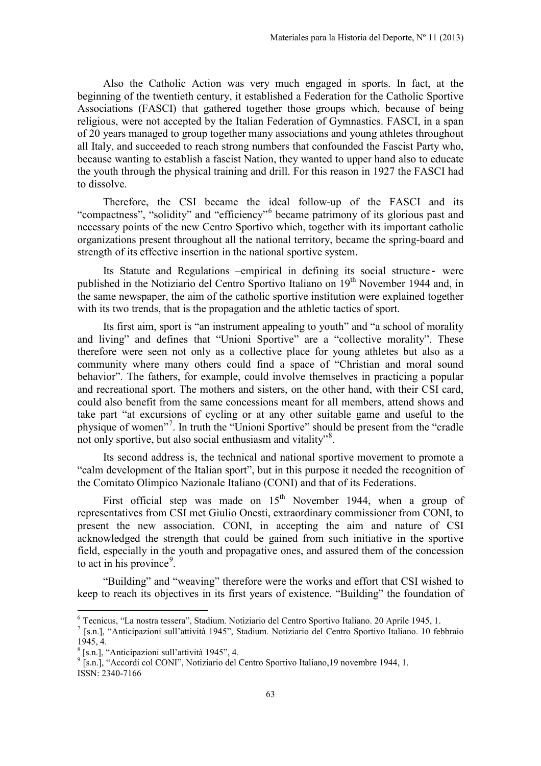Also the Catholic Action was very much engaged in sports. In fact, at the beginning of the twentieth century, it established a Federation for the Catholic Sportive Associations (FASCI) that gathered together those groups which, because of being religious, were not accepted by the Italian Federation of Gymnastics. FASCI, in a span of 20 years managed to group together many associations and young athletes throughout all Italy, and succeeded to reach strong numbers that confounded the Fascist Party who, because wanting to establish a fascist Nation, they wanted to upper hand also to educate the youth through the physical training and drill. For this reason in 1927 the FASCI had to dissolve.

Therefore, the CSI became the ideal follow-up of the FASCI and its "compactness", "solidity" and "efficiency"[6](#page-1-1) became patrimony of its glorious past and necessary points of the new Centro Sportivo which, together with its important catholic organizations present throughout all the national territory, became the spring-board and strength of its effective insertion in the national sportive system.

Its Statute and Regulations –empirical in defining its social structure- were published in the Notiziario del Centro Sportivo Italiano on 19<sup>th</sup> November 1944 and, in the same newspaper, the aim of the catholic sportive institution were explained together with its two trends, that is the propagation and the athletic tactics of sport.

Its first aim, sport is "an instrument appealing to youth" and "a school of morality and living" and defines that "Unioni Sportive" are a "collective morality". These therefore were seen not only as a collective place for young athletes but also as a community where many others could find a space of "Christian and moral sound behavior". The fathers, for example, could involve themselves in practicing a popular and recreational sport. The mothers and sisters, on the other hand, with their CSI card, could also benefit from the same concessions meant for all members, attend shows and take part "at excursions of cycling or at any other suitable game and useful to the physique of women"<sup>[7](#page-2-0)</sup>. In truth the "Unioni Sportive" should be present from the "cradle not only sportive, but also social enthusiasm and vitality"<sup>[8](#page-2-1)</sup>.

Its second address is, the technical and national sportive movement to promote a "calm development of the Italian sport", but in this purpose it needed the recognition of the Comitato Olimpico Nazionale Italiano (CONI) and that of its Federations.

First official step was made on  $15<sup>th</sup>$  November 1944, when a group of representatives from CSI met Giulio Onesti, extraordinary commissioner from CONI, to present the new association. CONI, in accepting the aim and nature of CSI acknowledged the strength that could be gained from such initiative in the sportive field, especially in the youth and propagative ones, and assured them of the concession to act in his province<sup>[9](#page-2-2)</sup>.

<span id="page-2-3"></span>"Building" and "weaving" therefore were the works and effort that CSI wished to keep to reach its objectives in its first years of existence. "Building" the foundation of

 $\overline{a}$ 

<span id="page-2-2"></span>ISSN: 2340-7166 <sup>9</sup> [s.n.], "Accordi col CONI", Notiziario del Centro Sportivo Italiano, 19 novembre 1944, 1.

<span id="page-2-0"></span><sup>6</sup> Tecnicus, "La nostra tessera", Stadium. Notiziario del Centro Sportivo Italiano. 20 Aprile 1945, 1. <sup>7</sup> [s.n.], "Anticipazioni sull'attività 1945", Stadium. Notiziario del Centro Sportivo Italiano. 10 febbraio 1945, 4.

<span id="page-2-1"></span><sup>8</sup> [s.n.], "Anticipazioni sull'attività 1945", 4.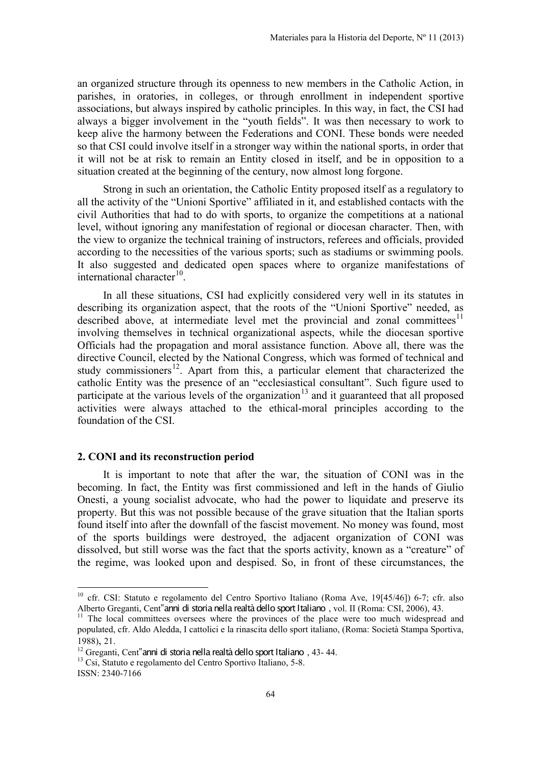an organized structure through its openness to new members in the Catholic Action, in parishes, in oratories, in colleges, or through enrollment in independent sportive associations, but always inspired by catholic principles. In this way, in fact, the CSI had always a bigger involvement in the "youth fields". It was then necessary to work to keep alive the harmony between the Federations and CONI. These bonds were needed so that CSI could involve itself in a stronger way within the national sports, in order that it will not be at risk to remain an Entity closed in itself, and be in opposition to a situation created at the beginning of the century, now almost long forgone.

Strong in such an orientation, the Catholic Entity proposed itself as a regulatory to all the activity of the "Unioni Sportive" affiliated in it, and established contacts with the civil Authorities that had to do with sports, to organize the competitions at a national level, without ignoring any manifestation of regional or diocesan character. Then, with the view to organize the technical training of instructors, referees and officials, provided according to the necessities of the various sports; such as stadiums or swimming pools. It also suggested and dedicated open spaces where to organize manifestations of international character $10$ .

In all these situations, CSI had explicitly considered very well in its statutes in describing its organization aspect, that the roots of the "Unioni Sportive" needed, as described above, at intermediate level met the provincial and zonal committees<sup>[11](#page-3-0)</sup> involving themselves in technical organizational aspects, while the diocesan sportive Officials had the propagation and moral assistance function. Above all, there was the directive Council, elected by the National Congress, which was formed of technical and study commissioners<sup>12</sup>. Apart from this, a particular element that characterized the catholic Entity was the presence of an "ecclesiastical consultant". Such figure used to participate at the various levels of the organization<sup>[13](#page-3-2)</sup> and it guaranteed that all proposed activities were always attached to the ethical-moral principles according to the foundation of the CSI.

### <span id="page-3-3"></span>**2. CONI and its reconstruction period**

It is important to note that after the war, the situation of CONI was in the becoming. In fact, the Entity was first commissioned and left in the hands of Giulio Onesti, a young socialist advocate, who had the power to liquidate and preserve its property. But this was not possible because of the grave situation that the Italian sports found itself into after the downfall of the fascist movement. No money was found, most of the sports buildings were destroyed, the adjacent organization of CONI was dissolved, but still worse was the fact that the sports activity, known as a "creature" of the regime, was looked upon and despised. So, in front of these circumstances, the

<sup>&</sup>lt;sup>10</sup> cfr. CSI: Statuto e regolamento del Centro Sportivo Italiano (Roma Ave, 19[45/46]) 6-7; cfr. also Alberto Greganti, Cent"anni di storia nella realtà dello sport Italiano, vol. II (Roma: CSI, 2006), 43.<br><sup>11</sup> The local committees oversees where the provinces of the place were too much widespread and

<span id="page-3-0"></span>populated, cfr. Aldo Aledda, I cattolici e la rinascita dello sport italiano, (Roma: Società Stampa Sportiva, 1988), 21.<br><sup>12</sup> Greganti, Cent<sup>"</sup>anni di storia nella realtà dello sport Italiano, 43-44.

<span id="page-3-1"></span>

<sup>13</sup> Csi, Statuto e regolamento del Centro Sportivo Italiano, 5-8.

<span id="page-3-2"></span>ISSN: 2340-7166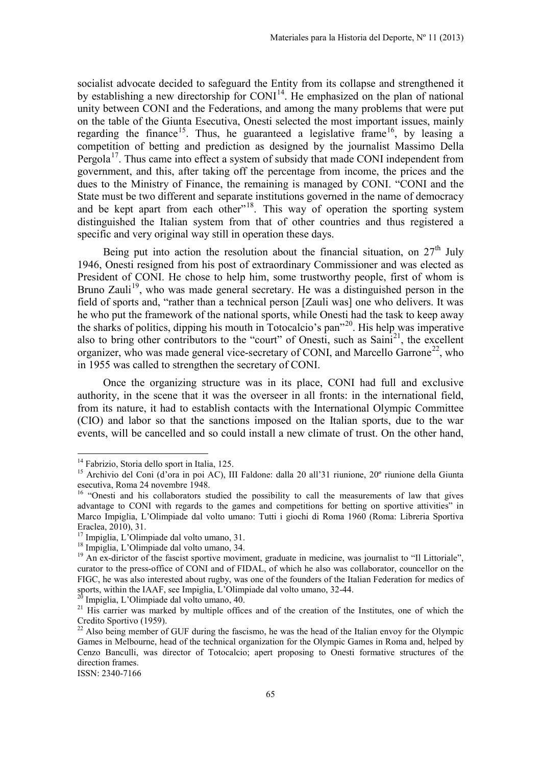socialist advocate decided to safeguard the Entity from its collapse and strengthened it by establishing a new directorship for  $COMI<sup>14</sup>$ . He emphasized on the plan of national unity between CONI and the Federations, and among the many problems that were put on the table of the Giunta Esecutiva, Onesti selected the most important issues, mainly regarding the finance<sup>[15](#page-4-0)</sup>. Thus, he guaranteed a legislative frame<sup>16</sup>, by leasing a competition of betting and prediction as designed by the journalist Massimo Della Pergola<sup>[17](#page-4-2)</sup>. Thus came into effect a system of subsidy that made CONI independent from government, and this, after taking off the percentage from income, the prices and the dues to the Ministry of Finance, the remaining is managed by CONI. "CONI and the State must be two different and separate institutions governed in the name of democracy and be kept apart from each other"<sup>[18](#page-4-3)</sup>. This way of operation the sporting system distinguished the Italian system from that of other countries and thus registered a specific and very original way still in operation these days.

Being put into action the resolution about the financial situation, on  $27<sup>th</sup>$  July 1946, Onesti resigned from his post of extraordinary Commissioner and was elected as President of CONI. He chose to help him, some trustworthy people, first of whom is Bruno Zauli<sup>[19](#page-4-4)</sup>, who was made general secretary. He was a distinguished person in the field of sports and, "rather than a technical person [Zauli was] one who delivers. It was he who put the framework of the national sports, while Onesti had the task to keep away the sharks of politics, dipping his mouth in Totocalcio's pan"[20.](#page-4-5) His help was imperative also to bring other contributors to the "court" of Onesti, such as  $\text{Saini}^{21}$ , the excellent organizer, who was made general vice-secretary of CONI, and Marcello Garrone<sup>[22](#page-4-7)</sup>, who in 1955 was called to strengthen the secretary of CONI.

Once the organizing structure was in its place, CONI had full and exclusive authority, in the scene that it was the overseer in all fronts: in the international field, from its nature, it had to establish contacts with the International Olympic Committee (CIO) and labor so that the sanctions imposed on the Italian sports, due to the war events, will be cancelled and so could install a new climate of trust. On the other hand,

ISSN: 2340-7166

 $\overline{\phantom{a}}$ 

<sup>&</sup>lt;sup>14</sup> Fabrizio, Storia dello sport in Italia, 125.

<span id="page-4-0"></span><sup>&</sup>lt;sup>15</sup> Archivio del Coni (d'ora in poi AC), III Faldone: dalla 20 all'31 riunione, 20<sup>°</sup> riunione della Giunta esecutiva, Roma 24 novembre 1948.

<span id="page-4-1"></span><sup>&</sup>lt;sup>16</sup> "Onesti and his collaborators studied the possibility to call the measurements of law that gives advantage to CONI with regards to the games and competitions for betting on sportive attivities" in Marco Impiglia, L'Olimpiade dal volto umano: Tutti i giochi di Roma 1960 (Roma: Libreria Sportiva Eraclea, 2010), 31.

<span id="page-4-2"></span><sup>17</sup> Impiglia, L'Olimpiade dal volto umano, 31.

<sup>18</sup> Impiglia, L'Olimpiade dal volto umano, 34.

<span id="page-4-4"></span><span id="page-4-3"></span><sup>&</sup>lt;sup>19</sup> An ex-dirictor of the fascist sportive moviment, graduate in medicine, was journalist to "Il Littoriale", curator to the press-office of CONI and of FIDAL, of which he also was collaborator, councellor on the FIGC, he was also interested about rugby, was one of the founders of the Italian Federation for medics of sports, within the IAAF, see Impiglia, L'Olimpiade dal volto umano,  $32-44$ .

<span id="page-4-8"></span><span id="page-4-6"></span><span id="page-4-5"></span><sup>&</sup>lt;sup>20</sup> Impiglia, L'Olimpiade dal volto umano, 40.<br><sup>21</sup> His carrier was marked by multiple offices and of the creation of the Institutes, one of which the Credito Sportivo (1959).<br><sup>22</sup> Also being member of GUF during the fascismo, he was the head of the Italian envoy for the Olympic

<span id="page-4-7"></span>Games in Melbourne, head of the technical organization for the Olympic Games in Roma and, helped by Cenzo Banculli, was director of Totocalcio; apert proposing to Onesti formative structures of the direction frames.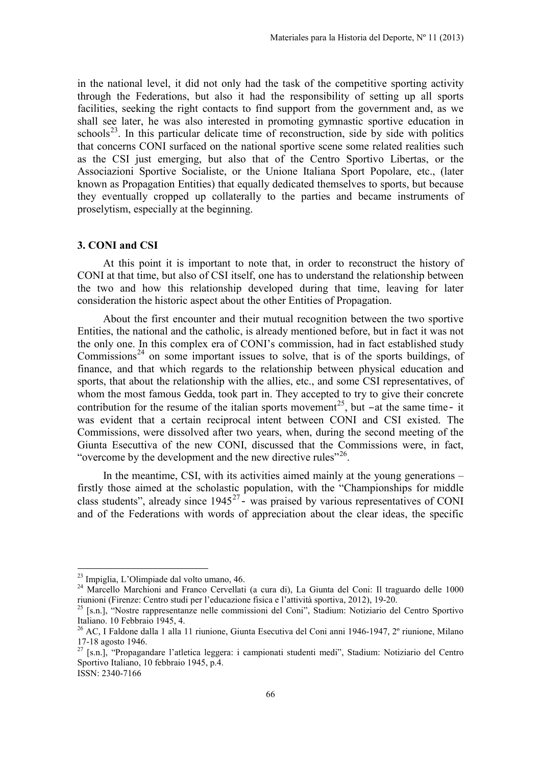in the national level, it did not only had the task of the competitive sporting activity through the Federations, but also it had the responsibility of setting up all sports facilities, seeking the right contacts to find support from the government and, as we shall see later, he was also interested in promoting gymnastic sportive education in schools<sup>23</sup>. In this particular delicate time of reconstruction, side by side with politics that concerns CONI surfaced on the national sportive scene some related realities such as the CSI just emerging, but also that of the Centro Sportivo Libertas, or the Associazioni Sportive Socialiste, or the Unione Italiana Sport Popolare, etc., (later known as Propagation Entities) that equally dedicated themselves to sports, but because they eventually cropped up collaterally to the parties and became instruments of proselytism, especially at the beginning.

## **3. CONI and CSI**

At this point it is important to note that, in order to reconstruct the history of CONI at that time, but also of CSI itself, one has to understand the relationship between the two and how this relationship developed during that time, leaving for later consideration the historic aspect about the other Entities of Propagation.

About the first encounter and their mutual recognition between the two sportive Entities, the national and the catholic, is already mentioned before, but in fact it was not the only one. In this complex era of CONI's commission, had in fact established study Commissions<sup>[24](#page-5-0)</sup> on some important issues to solve, that is of the sports buildings, of finance, and that which regards to the relationship between physical education and sports, that about the relationship with the allies, etc., and some CSI representatives, of whom the most famous Gedda, took part in. They accepted to try to give their concrete contribution for the resume of the italian sports movement<sup>[25](#page-5-1)</sup>, but –at the same time- it was evident that a certain reciprocal intent between CONI and CSI existed. The Commissions, were dissolved after two years, when, during the second meeting of the Giunta Esecuttiva of the new CONI, discussed that the Commissions were, in fact, "overcome by the development and the new directive rules"<sup>26</sup>.

<span id="page-5-4"></span>In the meantime, CSI, with its activities aimed mainly at the young generations – firstly those aimed at the scholastic population, with the "Championships for middle class students", already since  $1945^{27}$  $1945^{27}$  $1945^{27}$  was praised by various representatives of CONI and of the Federations with words of appreciation about the clear ideas, the specific

<sup>&</sup>lt;sup>23</sup> Impiglia, L'Olimpiade dal volto umano, 46.

<span id="page-5-0"></span><sup>&</sup>lt;sup>24</sup> Marcello Marchioni and Franco Cervellati (a cura di), La Giunta del Coni: Il traguardo delle 1000 riunioni (Firenze: Centro studi per l'educazione fisica e l'attività sportiva, 2012), 19-20. 25 [s.n.], "Nostre rappresentanze nelle commissioni del Coni", Stadium: Notiziario del Centro Sportivo

<span id="page-5-1"></span>Italiano. 10 Febbraio 1945, 4.

<span id="page-5-2"></span><sup>26</sup> AC, I Faldone dalla 1 alla 11 riunione, Giunta Esecutiva del Coni anni 1946-1947, 2º riunione, Milano 17-18 agosto 1946.

<span id="page-5-3"></span> $^{27}$  [s.n.], "Propagandare l'atletica leggera: i campionati studenti medi", Stadium: Notiziario del Centro Sportivo Italiano, 10 febbraio 1945, p.4.

ISSN: 2340-7166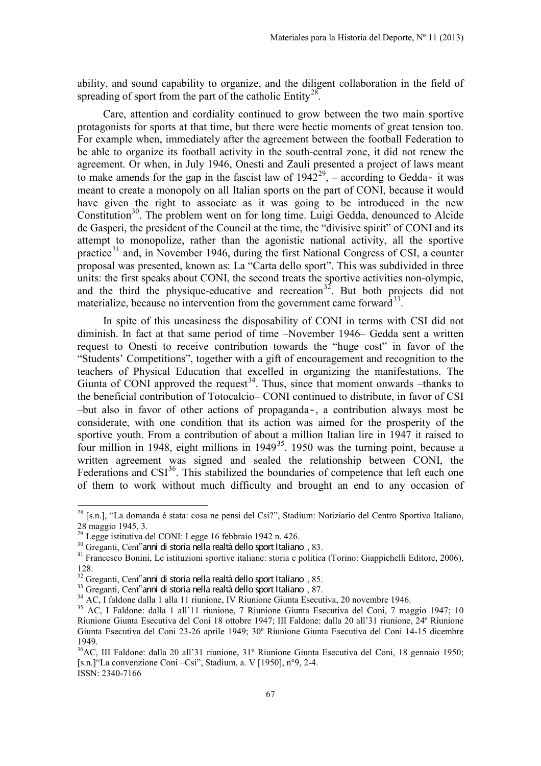ability, and sound capability to organize, and the diligent collaboration in the field of spreading of sport from the part of the catholic  $Entity^{28}$  $Entity^{28}$  $Entity^{28}$ .

Care, attention and cordiality continued to grow between the two main sportive protagonists for sports at that time, but there were hectic moments of great tension too. For example when, immediately after the agreement between the football Federation to be able to organize its football activity in the south-central zone, it did not renew the agreement. Or when, in July 1946, Onesti and Zauli presented a project of laws meant to make amends for the gap in the fascist law of  $1942^{29}$  $1942^{29}$  $1942^{29}$ , – according to Gedda- it was meant to create a monopoly on all Italian sports on the part of CONI, because it would have given the right to associate as it was going to be introduced in the new Constitution<sup>[30](#page-6-1)</sup>. The problem went on for long time. Luigi Gedda, denounced to Alcide de Gasperi, the president of the Council at the time, the "divisive spirit" of CONI and its attempt to monopolize, rather than the agonistic national activity, all the sportive practice<sup>[31](#page-6-2)</sup> and, in November 1946, during the first National Congress of CSI, a counter proposal was presented, known as: La "Carta dello sport". This was subdivided in three units: the first speaks about CONI, the second treats the sportive activities non-olympic, and the third the physique-educative and recreation<sup>[32](#page-6-3)</sup>. But both projects did not materialize, because no intervention from the government came forward  $33$ .

In spite of this uneasiness the disposability of CONI in terms with CSI did not diminish. In fact at that same period of time –November 1946– Gedda sent a written request to Onesti to receive contribution towards the "huge cost" in favor of the "Students' Competitions", together with a gift of encouragement and recognition to the teachers of Physical Education that excelled in organizing the manifestations. The Giunta of CONI approved the request<sup>[34](#page-6-5)</sup>. Thus, since that moment onwards  $-$ thanks to the beneficial contribution of Totocalcio– CONI continued to distribute, in favor of CSI –but also in favor of other actions of propaganda-, a contribution always most be considerate, with one condition that its action was aimed for the prosperity of the sportive youth. From a contribution of about a million Italian lire in 1947 it raised to four million in 1948, eight millions in 1949<sup>35</sup>. 1950 was the turning point, because a written agreement was signed and sealed the relationship between CONI, the Federations and  $CSI<sup>36</sup>$  $CSI<sup>36</sup>$  $CSI<sup>36</sup>$ . This stabilized the boundaries of competence that left each one of them to work without much difficulty and brought an end to any occasion of

<sup>&</sup>lt;sup>28</sup> [s.n.], "La domanda è stata: cosa ne pensi del Csi?", Stadium: Notiziario del Centro Sportivo Italiano, 28 maggio 1945, 3.

<span id="page-6-0"></span><sup>&</sup>lt;sup>29</sup> Legge istitutiva del CONI: Legge 16 febbraio 1942 n. 426.

<span id="page-6-2"></span><span id="page-6-1"></span><sup>&</sup>lt;sup>30</sup> Greganti, Cent<sup>"</sup>anni di storia nella realtà dello sport Italiano, 83.<br><sup>31</sup> Francesco Bonini, Le istituzioni sportive italiane: storia e politica (Torino: Giappichelli Editore, 2006), 128.<br><sup>32</sup> Greganti, Cent<sup>"</sup>anni di storia nella realtà dello sport Italiano, 85.

<span id="page-6-4"></span><span id="page-6-3"></span><sup>&</sup>lt;sup>33</sup> Greganti, Cent<sup>"</sup>anni di storia nella realtà dello sport Italiano, 87.<br><sup>34</sup> AC, I faldone dalla 1 alla 11 riunione, IV Riunione Giunta Esecutiva, 20 novembre 1946.

<span id="page-6-6"></span><span id="page-6-5"></span><sup>35</sup> AC, I Faldone: dalla 1 all'11 riunione, 7 Riunione Giunta Esecutiva del Coni, 7 maggio 1947; 10 Riunione Giunta Esecutiva del Coni 18 ottobre 1947; III Faldone: dalla 20 all'31 riunione, 24º Riunione Giunta Esecutiva del Coni 23-26 aprile 1949; 30º Riunione Giunta Esecutiva del Coni 14-15 dicembre 1949.

<span id="page-6-7"></span>ISSN: 2340-7166 36AC, III Faldone: dalla 20 all'31 riunione, 31º Riunione Giunta Esecutiva del Coni, 18 gennaio 1950; [s.n.]"La convenzione Coni –Csi", Stadium, a. V [1950], n°9, 2-4.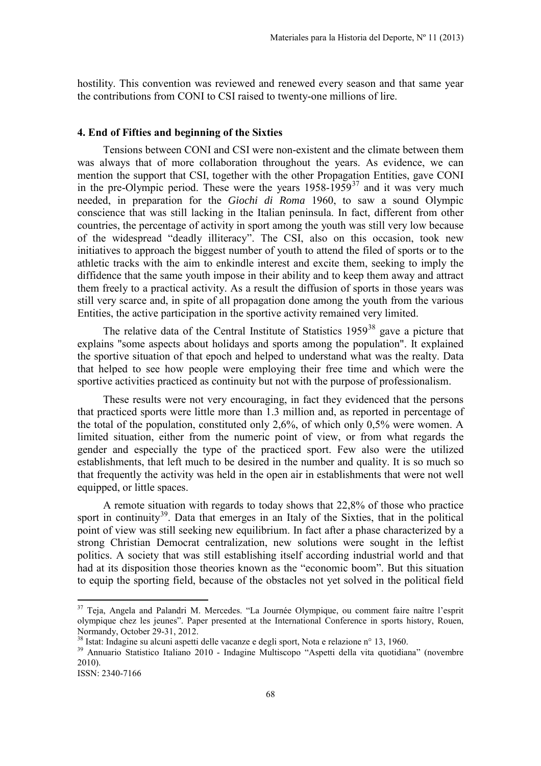hostility. This convention was reviewed and renewed every season and that same year the contributions from CONI to CSI raised to twenty-one millions of lire.

#### **4. End of Fifties and beginning of the Sixties**

Tensions between CONI and CSI were non-existent and the climate between them was always that of more collaboration throughout the years. As evidence, we can mention the support that CSI, together with the other Propagation Entities, gave CONI in the pre-Olympic period. These were the years  $1958-1959^{37}$  $1958-1959^{37}$  $1958-1959^{37}$  and it was very much needed, in preparation for the *Giochi di Roma* 1960, to saw a sound Olympic conscience that was still lacking in the Italian peninsula. In fact, different from other countries, the percentage of activity in sport among the youth was still very low because of the widespread "deadly illiteracy". The CSI, also on this occasion, took new initiatives to approach the biggest number of youth to attend the filed of sports or to the athletic tracks with the aim to enkindle interest and excite them, seeking to imply the diffidence that the same youth impose in their ability and to keep them away and attract them freely to a practical activity. As a result the diffusion of sports in those years was still very scarce and, in spite of all propagation done among the youth from the various Entities, the active participation in the sportive activity remained very limited.

The relative data of the Central Institute of Statistics  $1959^{38}$  $1959^{38}$  $1959^{38}$  gave a picture that explains "some aspects about holidays and sports among the population". It explained the sportive situation of that epoch and helped to understand what was the realty. Data that helped to see how people were employing their free time and which were the sportive activities practiced as continuity but not with the purpose of professionalism.

These results were not very encouraging, in fact they evidenced that the persons that practiced sports were little more than 1.3 million and, as reported in percentage of the total of the population, constituted only 2,6%, of which only 0,5% were women. A limited situation, either from the numeric point of view, or from what regards the gender and especially the type of the practiced sport. Few also were the utilized establishments, that left much to be desired in the number and quality. It is so much so that frequently the activity was held in the open air in establishments that were not well equipped, or little spaces.

A remote situation with regards to today shows that 22,8% of those who practice sport in continuity<sup>39</sup>. Data that emerges in an Italy of the Sixties, that in the political point of view was still seeking new equilibrium. In fact after a phase characterized by a strong Christian Democrat centralization, new solutions were sought in the leftist politics. A society that was still establishing itself according industrial world and that had at its disposition those theories known as the "economic boom". But this situation to equip the sporting field, because of the obstacles not yet solved in the political field

<sup>&</sup>lt;sup>37</sup> Teja, Angela and Palandri M. Mercedes. "La Journée Olympique, ou comment faire naître l'esprit olympique chez les jeunes". Paper presented at the International Conference in sports history, Rouen, Normandy, October 29-31, 2012.<br><sup>38</sup> Istat: Indagine su alcuni aspetti delle vacanze e degli sport, Nota e relazione n° 13, 1960.

<span id="page-7-0"></span>

<span id="page-7-1"></span><sup>&</sup>lt;sup>39</sup> Annuario Statistico Italiano 2010 - Indagine Multiscopo "Aspetti della vita quotidiana" (novembre 2010).

ISSN: 2340-7166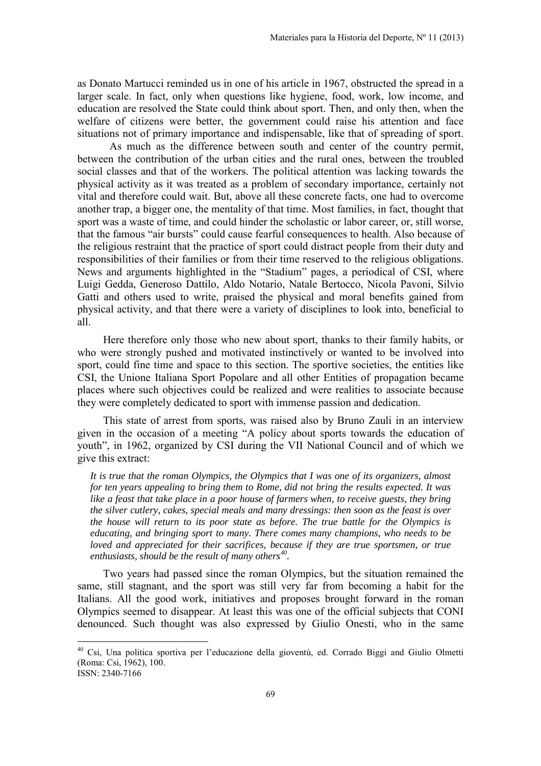as Donato Martucci reminded us in one of his article in 1967, obstructed the spread in a larger scale. In fact, only when questions like hygiene, food, work, low income, and education are resolved the State could think about sport. Then, and only then, when the welfare of citizens were better, the government could raise his attention and face situations not of primary importance and indispensable, like that of spreading of sport.

As much as the difference between south and center of the country permit, between the contribution of the urban cities and the rural ones, between the troubled social classes and that of the workers. The political attention was lacking towards the physical activity as it was treated as a problem of secondary importance, certainly not vital and therefore could wait. But, above all these concrete facts, one had to overcome another trap, a bigger one, the mentality of that time. Most families, in fact, thought that sport was a waste of time, and could hinder the scholastic or labor career, or, still worse, that the famous "air bursts" could cause fearful consequences to health. Also because of the religious restraint that the practice of sport could distract people from their duty and responsibilities of their families or from their time reserved to the religious obligations. News and arguments highlighted in the "Stadium" pages, a periodical of CSI, where Luigi Gedda, Generoso Dattilo, Aldo Notario, Natale Bertocco, Nicola Pavoni, Silvio Gatti and others used to write, praised the physical and moral benefits gained from physical activity, and that there were a variety of disciplines to look into, beneficial to all.

Here therefore only those who new about sport, thanks to their family habits, or who were strongly pushed and motivated instinctively or wanted to be involved into sport, could fine time and space to this section. The sportive societies, the entities like CSI, the Unione Italiana Sport Popolare and all other Entities of propagation became places where such objectives could be realized and were realities to associate because they were completely dedicated to sport with immense passion and dedication.

This state of arrest from sports, was raised also by Bruno Zauli in an interview given in the occasion of a meeting "A policy about sports towards the education of youth", in 1962, organized by CSI during the VII National Council and of which we give this extract:

*It is true that the roman Olympics, the Olympics that I was one of its organizers, almost for ten years appealing to bring them to Rome, did not bring the results expected. It was like a feast that take place in a poor house of farmers when, to receive guests, they bring the silver cutlery, cakes, special meals and many dressings: then soon as the feast is over the house will return to its poor state as before. The true battle for the Olympics is educating, and bringing sport to many. There comes many champions, who needs to be loved and appreciated for their sacrifices, because if they are true sportsmen, or true enthusiasts, should be the result of many others[40.](#page-7-1)* 

Two years had passed since the roman Olympics, but the situation remained the same, still stagnant, and the sport was still very far from becoming a habit for the Italians. All the good work, initiatives and proposes brought forward in the roman Olympics seemed to disappear. At least this was one of the official subjects that CONI denounced. Such thought was also expressed by Giulio Onesti, who in the same

<span id="page-8-0"></span>ISSN: 2340-7166 <sup>40</sup> Csi, Una politica sportiva per l'educazione della gioventù, ed. Corrado Biggi and Giulio Olmetti (Roma: Csi, 1962), 100.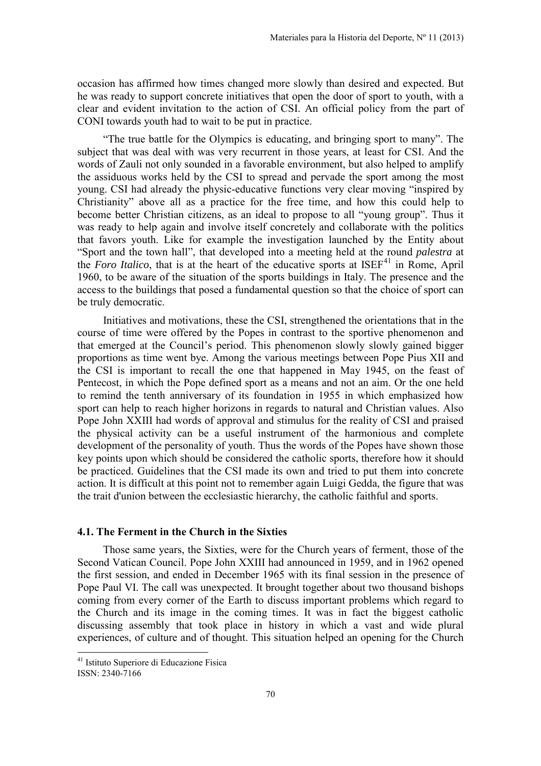occasion has affirmed how times changed more slowly than desired and expected. But he was ready to support concrete initiatives that open the door of sport to youth, with a clear and evident invitation to the action of CSI. An official policy from the part of CONI towards youth had to wait to be put in practice.

"The true battle for the Olympics is educating, and bringing sport to many". The subject that was deal with was very recurrent in those years, at least for CSI. And the words of Zauli not only sounded in a favorable environment, but also helped to amplify the assiduous works held by the CSI to spread and pervade the sport among the most young. CSI had already the physic-educative functions very clear moving "inspired by Christianity" above all as a practice for the free time, and how this could help to become better Christian citizens, as an ideal to propose to all "young group". Thus it was ready to help again and involve itself concretely and collaborate with the politics that favors youth. Like for example the investigation launched by the Entity about "Sport and the town hall", that developed into a meeting held at the round *palestra* at the *Foro Italico*, that is at the heart of the educative sports at ISEF<sup>[41](#page-8-0)</sup> in Rome, April 1960, to be aware of the situation of the sports buildings in Italy. The presence and the access to the buildings that posed a fundamental question so that the choice of sport can be truly democratic.

Initiatives and motivations, these the CSI, strengthened the orientations that in the course of time were offered by the Popes in contrast to the sportive phenomenon and that emerged at the Council's period. This phenomenon slowly slowly gained bigger proportions as time went bye. Among the various meetings between Pope Pius XII and the CSI is important to recall the one that happened in May 1945, on the feast of Pentecost, in which the Pope defined sport as a means and not an aim. Or the one held to remind the tenth anniversary of its foundation in 1955 in which emphasized how sport can help to reach higher horizons in regards to natural and Christian values. Also Pope John XXIII had words of approval and stimulus for the reality of CSI and praised the physical activity can be a useful instrument of the harmonious and complete development of the personality of youth. Thus the words of the Popes have shown those key points upon which should be considered the catholic sports, therefore how it should be practiced. Guidelines that the CSI made its own and tried to put them into concrete action. It is difficult at this point not to remember again Luigi Gedda, the figure that was the trait d'union between the ecclesiastic hierarchy, the catholic faithful and sports.

# **4.1. The Ferment in the Church in the Sixties**

Those same years, the Sixties, were for the Church years of ferment, those of the Second Vatican Council. Pope John XXIII had announced in 1959, and in 1962 opened the first session, and ended in December 1965 with its final session in the presence of Pope Paul VI. The call was unexpected. It brought together about two thousand bishops coming from every corner of the Earth to discuss important problems which regard to the Church and its image in the coming times. It was in fact the biggest catholic discussing assembly that took place in history in which a vast and wide plural experiences, of culture and of thought. This situation helped an opening for the Church

<span id="page-9-0"></span>l

<sup>&</sup>lt;sup>41</sup> Istituto Superiore di Educazione Fisica

ISSN: 2340-7166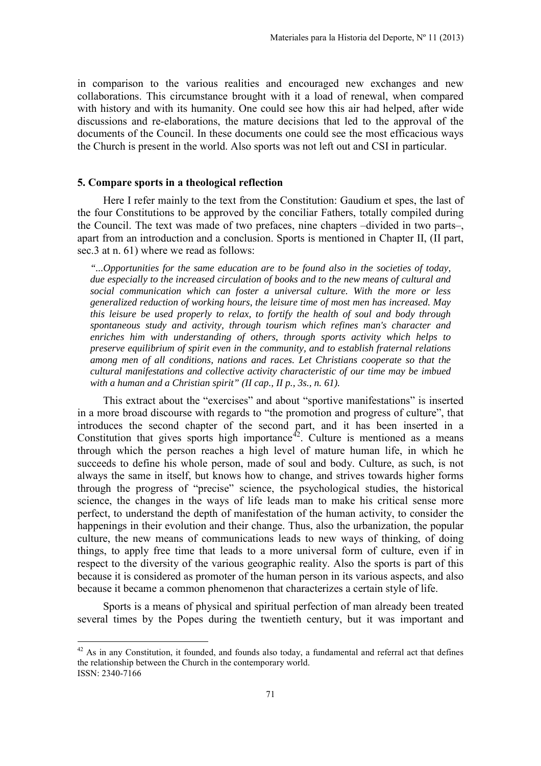in comparison to the various realities and encouraged new exchanges and new collaborations. This circumstance brought with it a load of renewal, when compared with history and with its humanity. One could see how this air had helped, after wide discussions and re-elaborations, the mature decisions that led to the approval of the documents of the Council. In these documents one could see the most efficacious ways the Church is present in the world. Also sports was not left out and CSI in particular.

## **5. Compare sports in a theological reflection**

 $\overline{a}$ 

Here I refer mainly to the text from the Constitution: Gaudium et spes, the last of the four Constitutions to be approved by the conciliar Fathers, totally compiled during the Council. The text was made of two prefaces, nine chapters –divided in two parts–, apart from an introduction and a conclusion. Sports is mentioned in Chapter II, (II part, sec.3 at n. 61) where we read as follows:

*"...Opportunities for the same education are to be found also in the societies of today, due especially to the increased circulation of books and to the new means of cultural and social communication which can foster a universal culture. With the more or less generalized reduction of working hours, the leisure time of most men has increased. May this leisure be used properly to relax, to fortify the health of soul and body through spontaneous study and activity, through tourism which refines man's character and enriches him with understanding of others, through sports activity which helps to preserve equilibrium of spirit even in the community, and to establish fraternal relations among men of all conditions, nations and races. Let Christians cooperate so that the cultural manifestations and collective activity characteristic of our time may be imbued with a human and a Christian spirit" (II cap., II p., 3s., n. 61).* 

This extract about the "exercises" and about "sportive manifestations" is inserted in a more broad discourse with regards to "the promotion and progress of culture", that introduces the second chapter of the second part, and it has been inserted in a Constitution that gives sports high importance<sup>[42](#page-9-0)</sup>. Culture is mentioned as a means through which the person reaches a high level of mature human life, in which he succeeds to define his whole person, made of soul and body. Culture, as such, is not always the same in itself, but knows how to change, and strives towards higher forms through the progress of "precise" science, the psychological studies, the historical science, the changes in the ways of life leads man to make his critical sense more perfect, to understand the depth of manifestation of the human activity, to consider the happenings in their evolution and their change. Thus, also the urbanization, the popular culture, the new means of communications leads to new ways of thinking, of doing things, to apply free time that leads to a more universal form of culture, even if in respect to the diversity of the various geographic reality. Also the sports is part of this because it is considered as promoter of the human person in its various aspects, and also because it became a common phenomenon that characterizes a certain style of life.

<span id="page-10-0"></span>Sports is a means of physical and spiritual perfection of man already been treated several times by the Popes during the twentieth century, but it was important and

ISSN: 2340-7166  $42$  As in any Constitution, it founded, and founds also today, a fundamental and referral act that defines the relationship between the Church in the contemporary world.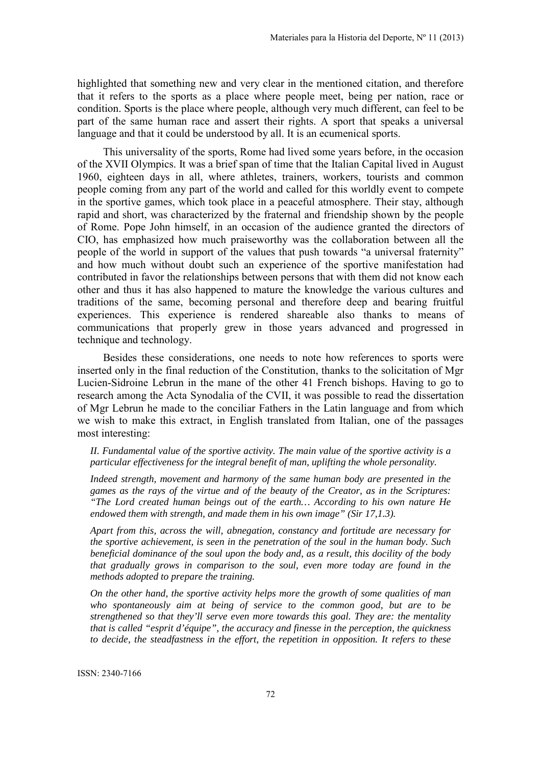highlighted that something new and very clear in the mentioned citation, and therefore that it refers to the sports as a place where people meet, being per nation, race or condition. Sports is the place where people, although very much different, can feel to be part of the same human race and assert their rights. A sport that speaks a universal language and that it could be understood by all. It is an ecumenical sports.

This universality of the sports, Rome had lived some years before, in the occasion of the XVII Olympics. It was a brief span of time that the Italian Capital lived in August 1960, eighteen days in all, where athletes, trainers, workers, tourists and common people coming from any part of the world and called for this worldly event to compete in the sportive games, which took place in a peaceful atmosphere. Their stay, although rapid and short, was characterized by the fraternal and friendship shown by the people of Rome. Pope John himself, in an occasion of the audience granted the directors of CIO, has emphasized how much praiseworthy was the collaboration between all the people of the world in support of the values that push towards "a universal fraternity" and how much without doubt such an experience of the sportive manifestation had contributed in favor the relationships between persons that with them did not know each other and thus it has also happened to mature the knowledge the various cultures and traditions of the same, becoming personal and therefore deep and bearing fruitful experiences. This experience is rendered shareable also thanks to means of communications that properly grew in those years advanced and progressed in technique and technology.

Besides these considerations, one needs to note how references to sports were inserted only in the final reduction of the Constitution, thanks to the solicitation of Mgr Lucien-Sidroine Lebrun in the mane of the other 41 French bishops. Having to go to research among the Acta Synodalia of the CVII, it was possible to read the dissertation of Mgr Lebrun he made to the conciliar Fathers in the Latin language and from which we wish to make this extract, in English translated from Italian, one of the passages most interesting:

*II. Fundamental value of the sportive activity. The main value of the sportive activity is a particular effectiveness for the integral benefit of man, uplifting the whole personality.* 

*Indeed strength, movement and harmony of the same human body are presented in the games as the rays of the virtue and of the beauty of the Creator, as in the Scriptures: "The Lord created human beings out of the earth… According to his own nature He endowed them with strength, and made them in his own image" (Sir 17,1.3).* 

*Apart from this, across the will, abnegation, constancy and fortitude are necessary for the sportive achievement, is seen in the penetration of the soul in the human body. Such beneficial dominance of the soul upon the body and, as a result, this docility of the body that gradually grows in comparison to the soul, even more today are found in the methods adopted to prepare the training.* 

*On the other hand, the sportive activity helps more the growth of some qualities of man who spontaneously aim at being of service to the common good, but are to be strengthened so that they'll serve even more towards this goal. They are: the mentality that is called "esprit d'équipe", the accuracy and finesse in the perception, the quickness to decide, the steadfastness in the effort, the repetition in opposition. It refers to these* 

ISSN: 2340-7166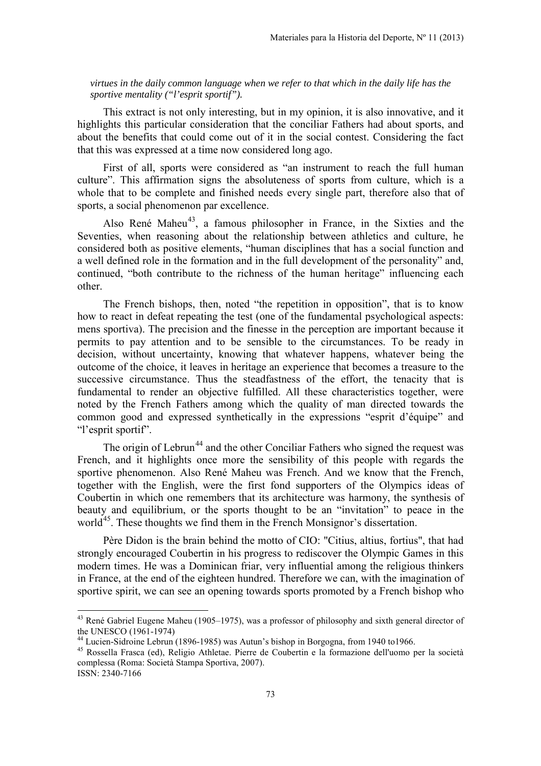*virtues in the daily common language when we refer to that which in the daily life has the sportive mentality ("l'esprit sportif").*

This extract is not only interesting, but in my opinion, it is also innovative, and it highlights this particular consideration that the conciliar Fathers had about sports, and about the benefits that could come out of it in the social contest. Considering the fact that this was expressed at a time now considered long ago.

First of all, sports were considered as "an instrument to reach the full human culture". This affirmation signs the absoluteness of sports from culture, which is a whole that to be complete and finished needs every single part, therefore also that of sports, a social phenomenon par excellence.

Also René Maheu<sup>43</sup>, a famous philosopher in France, in the Sixties and the Seventies, when reasoning about the relationship between athletics and culture, he considered both as positive elements, "human disciplines that has a social function and a well defined role in the formation and in the full development of the personality" and, continued, "both contribute to the richness of the human heritage" influencing each other.

The French bishops, then, noted "the repetition in opposition", that is to know how to react in defeat repeating the test (one of the fundamental psychological aspects: mens sportiva). The precision and the finesse in the perception are important because it permits to pay attention and to be sensible to the circumstances. To be ready in decision, without uncertainty, knowing that whatever happens, whatever being the outcome of the choice, it leaves in heritage an experience that becomes a treasure to the successive circumstance. Thus the steadfastness of the effort, the tenacity that is fundamental to render an objective fulfilled. All these characteristics together, were noted by the French Fathers among which the quality of man directed towards the common good and expressed synthetically in the expressions "esprit d'équipe" and "l'esprit sportif".

The origin of Lebrun<sup>[44](#page-12-0)</sup> and the other Conciliar Fathers who signed the request was French, and it highlights once more the sensibility of this people with regards the sportive phenomenon. Also René Maheu was French. And we know that the French, together with the English, were the first fond supporters of the Olympics ideas of Coubertin in which one remembers that its architecture was harmony, the synthesis of beauty and equilibrium, or the sports thought to be an "invitation" to peace in the world<sup>45</sup>. These thoughts we find them in the French Monsignor's dissertation.

Père Didon is the brain behind the motto of CIO: "Citius, altius, fortius", that had strongly encouraged Coubertin in his progress to rediscover the Olympic Games in this modern times. He was a Dominican friar, very influential among the religious thinkers in France, at the end of the eighteen hundred. Therefore we can, with the imagination of sportive spirit, we can see an opening towards sports promoted by a French bishop who

<span id="page-12-2"></span><sup>&</sup>lt;sup>43</sup> René Gabriel Eugene Maheu (1905–1975), was a professor of philosophy and sixth general director of the UNESCO (1961-1974)<br><sup>44</sup> Lucien-Sidroine Lebrun (1896-1985) was Autun's bishop in Borgogna, from 1940 to1966.

<span id="page-12-0"></span>

<span id="page-12-1"></span><sup>45</sup> Rossella Frasca (ed), Religio Athletae. Pierre de Coubertin e la formazione dell'uomo per la società complessa (Roma: Società Stampa Sportiva, 2007).

ISSN: 2340-7166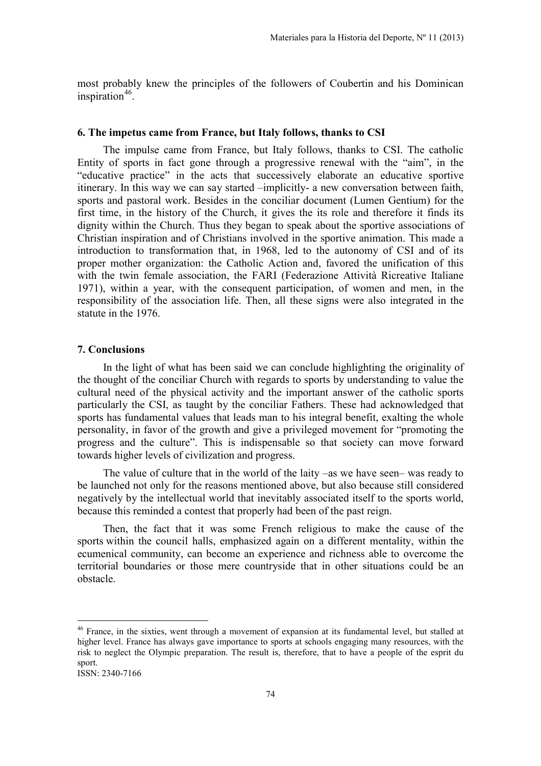most probably knew the principles of the followers of Coubertin and his Dominican inspiration $46$ .

#### **6. The impetus came from France, but Italy follows, thanks to CSI**

The impulse came from France, but Italy follows, thanks to CSI. The catholic Entity of sports in fact gone through a progressive renewal with the "aim", in the "educative practice" in the acts that successively elaborate an educative sportive itinerary. In this way we can say started –implicitly- a new conversation between faith, sports and pastoral work. Besides in the conciliar document (Lumen Gentium) for the first time, in the history of the Church, it gives the its role and therefore it finds its dignity within the Church. Thus they began to speak about the sportive associations of Christian inspiration and of Christians involved in the sportive animation. This made a introduction to transformation that, in 1968, led to the autonomy of CSI and of its proper mother organization: the Catholic Action and, favored the unification of this with the twin female association, the FARI (Federazione Attività Ricreative Italiane 1971), within a year, with the consequent participation, of women and men, in the responsibility of the association life. Then, all these signs were also integrated in the statute in the 1976.

#### **7. Conclusions**

In the light of what has been said we can conclude highlighting the originality of the thought of the conciliar Church with regards to sports by understanding to value the cultural need of the physical activity and the important answer of the catholic sports particularly the CSI, as taught by the conciliar Fathers. These had acknowledged that sports has fundamental values that leads man to his integral benefit, exalting the whole personality, in favor of the growth and give a privileged movement for "promoting the progress and the culture". This is indispensable so that society can move forward towards higher levels of civilization and progress.

The value of culture that in the world of the laity –as we have seen– was ready to be launched not only for the reasons mentioned above, but also because still considered negatively by the intellectual world that inevitably associated itself to the sports world, because this reminded a contest that properly had been of the past reign.

Then, the fact that it was some French religious to make the cause of the sports within the council halls, emphasized again on a different mentality, within the ecumenical community, can become an experience and richness able to overcome the territorial boundaries or those mere countryside that in other situations could be an obstacle.

<span id="page-13-0"></span><sup>&</sup>lt;sup>46</sup> France, in the sixties, went through a movement of expansion at its fundamental level, but stalled at higher level. France has always gave importance to sports at schools engaging many resources, with the risk to neglect the Olympic preparation. The result is, therefore, that to have a people of the esprit du sport.

ISSN: 2340-7166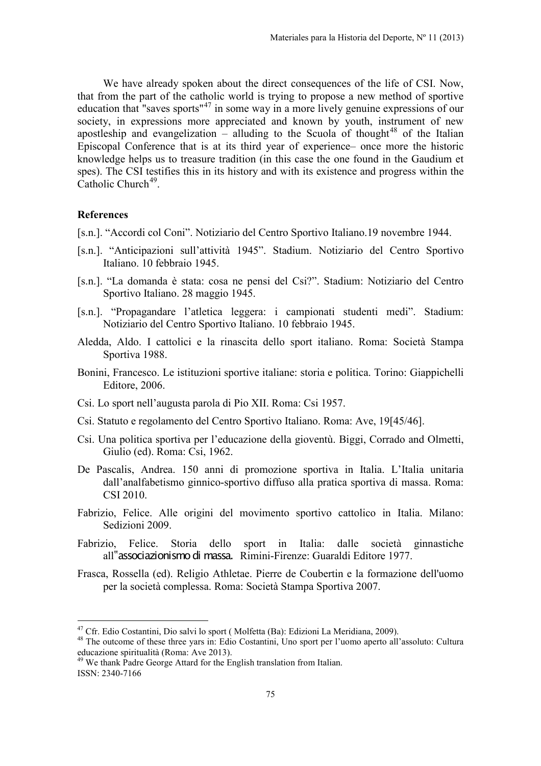We have already spoken about the direct consequences of the life of CSI. Now, that from the part of the catholic world is trying to propose a new method of sportive education that "saves sports"[47](#page-13-0) in some way in a more lively genuine expressions of our society, in expressions more appreciated and known by youth, instrument of new apostleship and evangelization – alluding to the Scuola of thought<sup>[48](#page-14-0)</sup> of the Italian Episcopal Conference that is at its third year of experience– once more the historic knowledge helps us to treasure tradition (in this case the one found in the Gaudium et spes). The CSI testifies this in its history and with its existence and progress within the Catholic Church<sup>49</sup>.

## **References**

- [s.n.]. "Accordi col Coni". Notiziario del Centro Sportivo Italiano.19 novembre 1944.
- [s.n.]. "Anticipazioni sull'attività 1945". Stadium. Notiziario del Centro Sportivo Italiano. 10 febbraio 1945.
- [s.n.]. "La domanda è stata: cosa ne pensi del Csi?". Stadium: Notiziario del Centro Sportivo Italiano. 28 maggio 1945.
- [s.n.]. "Propagandare l'atletica leggera: i campionati studenti medi". Stadium: Notiziario del Centro Sportivo Italiano. 10 febbraio 1945.
- Aledda, Aldo. I cattolici e la rinascita dello sport italiano. Roma: Società Stampa Sportiva 1988.
- Bonini, Francesco. Le istituzioni sportive italiane: storia e politica. Torino: Giappichelli Editore, 2006.
- Csi. Lo sport nell'augusta parola di Pio XII. Roma: Csi 1957.
- Csi. Statuto e regolamento del Centro Sportivo Italiano. Roma: Ave, 19[45/46].
- Csi. Una politica sportiva per l'educazione della gioventù. Biggi, Corrado and Olmetti, Giulio (ed). Roma: Csi, 1962.
- De Pascalis, Andrea. 150 anni di promozione sportiva in Italia. L'Italia unitaria dall'analfabetismo ginnico-sportivo diffuso alla pratica sportiva di massa. Roma: CSI 2010.
- Fabrizio, Felice. Alle origini del movimento sportivo cattolico in Italia. Milano: Sedizioni 2009.
- Fabrizio, Felice. Storia dello sport in Italia: dalle società ginnastiche all"associazionismo di massa. Rimini-Firenze: Guaraldi Editore 1977.
- Frasca, Rossella (ed). Religio Athletae. Pierre de Coubertin e la formazione dell'uomo per la società complessa. Roma: Società Stampa Sportiva 2007.

<sup>&</sup>lt;sup>47</sup> Cfr. Edio Costantini, Dio salvi lo sport (Molfetta (Ba): Edizioni La Meridiana, 2009).

<span id="page-14-0"></span><sup>48</sup> The outcome of these three yars in: Edio Costantini, Uno sport per l'uomo aperto all'assoluto: Cultura educazione spiritualità (Roma: Ave 2013).

<span id="page-14-1"></span>ISSN: 2340-7166 <sup>49</sup> We thank Padre George Attard for the English translation from Italian.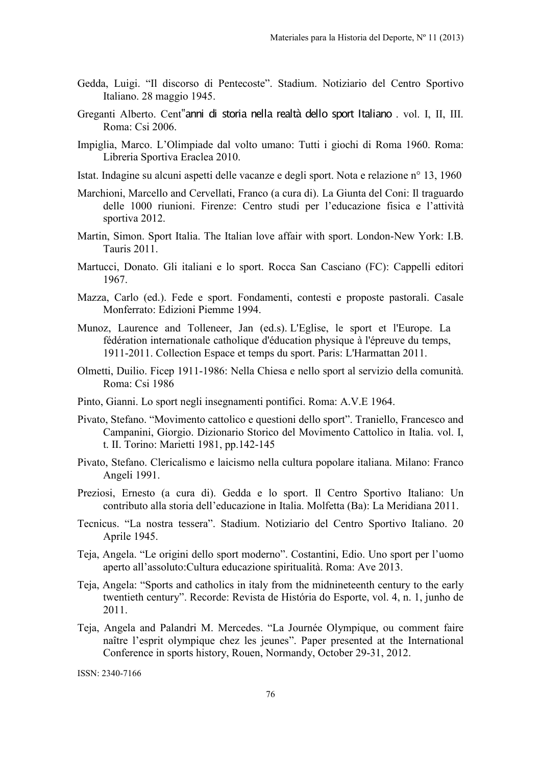- Gedda, Luigi. "Il discorso di Pentecoste". Stadium. Notiziario del Centro Sportivo Italiano. 28 maggio 1945.
- Greganti Alberto. Cent"anni di storia nella realtà dello sport Italiano . vol. I, II, III. Roma: Csi 2006.
- Impiglia, Marco. L'Olimpiade dal volto umano: Tutti i giochi di Roma 1960. Roma: Libreria Sportiva Eraclea 2010.
- Istat. Indagine su alcuni aspetti delle vacanze e degli sport. Nota e relazione n° 13, 1960
- Marchioni, Marcello and Cervellati, Franco (a cura di). La Giunta del Coni: Il traguardo delle 1000 riunioni. Firenze: Centro studi per l'educazione fisica e l'attività sportiva 2012.
- Martin, Simon. Sport Italia. The Italian love affair with sport. London-New York: I.B. Tauris 2011.
- Martucci, Donato. Gli italiani e lo sport. Rocca San Casciano (FC): Cappelli editori 1967.
- Mazza, Carlo (ed.). Fede e sport. Fondamenti, contesti e proposte pastorali. Casale Monferrato: Edizioni Piemme 1994.
- Munoz, Laurence and Tolleneer, Jan (ed.s). L'Eglise, le sport et l'Europe. La fédération internationale catholique d'éducation physique à l'épreuve du temps, 1911-2011. Collection Espace et temps du sport. Paris: L'Harmattan 2011.
- Olmetti, Duilio. Ficep 1911-1986: Nella Chiesa e nello sport al servizio della comunità. Roma: Csi 1986
- Pinto, Gianni. Lo sport negli insegnamenti pontifici. Roma: A.V.E 1964.
- Pivato, Stefano. "Movimento cattolico e questioni dello sport". Traniello, Francesco and Campanini, Giorgio. Dizionario Storico del Movimento Cattolico in Italia. vol. I, t. II. Torino: Marietti 1981, pp.142-145
- Pivato, Stefano. Clericalismo e laicismo nella cultura popolare italiana. Milano: Franco Angeli 1991.
- Preziosi, Ernesto (a cura di). Gedda e lo sport. Il Centro Sportivo Italiano: Un contributo alla storia dell'educazione in Italia. Molfetta (Ba): La Meridiana 2011.
- Tecnicus. "La nostra tessera". Stadium. Notiziario del Centro Sportivo Italiano. 20 Aprile 1945.
- Teja, Angela. "Le origini dello sport moderno". Costantini, Edio. Uno sport per l'uomo aperto all'assoluto:Cultura educazione spiritualità. Roma: Ave 2013.
- Teja, Angela: "Sports and catholics in italy from the midnineteenth century to the early twentieth century". Recorde: Revista de História do Esporte, vol. 4, n. 1, junho de 2011.
- Teja, Angela and Palandri M. Mercedes. "La Journée Olympique, ou comment faire naître l'esprit olympique chez les jeunes". Paper presented at the International Conference in sports history, Rouen, Normandy, October 29-31, 2012.

ISSN: 2340-7166